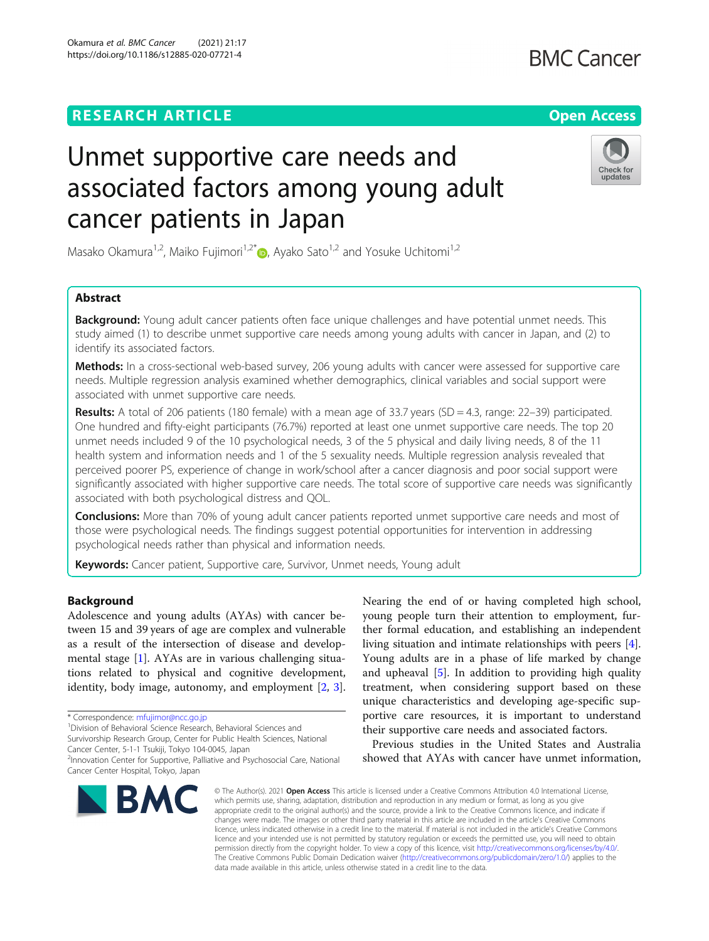Okamura et al. BMC Cancer (2021) 21:17 https://doi.org/10.1186/s12885-020-07721-4

# Unmet supportive care needs and associated factors among young adult cancer patients in Japan



Masako Okamura<sup>1[,](http://orcid.org/0000-0003-1639-3390)2</sup>, Maiko Fujimori<sup>1,2\*</sup>  $\bullet$ , Ayako Sato<sup>1,2</sup> and Yosuke Uchitomi<sup>1,2</sup>

## Abstract

Background: Young adult cancer patients often face unique challenges and have potential unmet needs. This study aimed (1) to describe unmet supportive care needs among young adults with cancer in Japan, and (2) to identify its associated factors.

Methods: In a cross-sectional web-based survey, 206 young adults with cancer were assessed for supportive care needs. Multiple regression analysis examined whether demographics, clinical variables and social support were associated with unmet supportive care needs.

Results: A total of 206 patients (180 female) with a mean age of 33.7 years (SD = 4.3, range: 22–39) participated. One hundred and fifty-eight participants (76.7%) reported at least one unmet supportive care needs. The top 20 unmet needs included 9 of the 10 psychological needs, 3 of the 5 physical and daily living needs, 8 of the 11 health system and information needs and 1 of the 5 sexuality needs. Multiple regression analysis revealed that perceived poorer PS, experience of change in work/school after a cancer diagnosis and poor social support were significantly associated with higher supportive care needs. The total score of supportive care needs was significantly associated with both psychological distress and QOL.

**Conclusions:** More than 70% of young adult cancer patients reported unmet supportive care needs and most of those were psychological needs. The findings suggest potential opportunities for intervention in addressing psychological needs rather than physical and information needs.

Keywords: Cancer patient, Supportive care, Survivor, Unmet needs, Young adult

## Background

Adolescence and young adults (AYAs) with cancer between 15 and 39 years of age are complex and vulnerable as a result of the intersection of disease and developmental stage [[1\]](#page-8-0). AYAs are in various challenging situations related to physical and cognitive development, identity, body image, autonomy, and employment [[2,](#page-8-0) [3](#page-8-0)].

<sup>1</sup> Division of Behavioral Science Research, Behavioral Sciences and

Survivorship Research Group, Center for Public Health Sciences, National

Cancer Center, 5-1-1 Tsukiji, Tokyo 104-0045, Japan

<sup>2</sup>Innovation Center for Supportive, Palliative and Psychosocial Care, National Cancer Center Hospital, Tokyo, Japan



Nearing the end of or having completed high school, young people turn their attention to employment, further formal education, and establishing an independent living situation and intimate relationships with peers [\[4](#page-8-0)]. Young adults are in a phase of life marked by change and upheaval  $[5]$  $[5]$  $[5]$ . In addition to providing high quality treatment, when considering support based on these unique characteristics and developing age-specific supportive care resources, it is important to understand their supportive care needs and associated factors.

Previous studies in the United States and Australia showed that AYAs with cancer have unmet information,

© The Author(s), 2021 **Open Access** This article is licensed under a Creative Commons Attribution 4.0 International License, which permits use, sharing, adaptation, distribution and reproduction in any medium or format, as long as you give appropriate credit to the original author(s) and the source, provide a link to the Creative Commons licence, and indicate if changes were made. The images or other third party material in this article are included in the article's Creative Commons licence, unless indicated otherwise in a credit line to the material. If material is not included in the article's Creative Commons licence and your intended use is not permitted by statutory regulation or exceeds the permitted use, you will need to obtain permission directly from the copyright holder. To view a copy of this licence, visit [http://creativecommons.org/licenses/by/4.0/.](http://creativecommons.org/licenses/by/4.0/) The Creative Commons Public Domain Dedication waiver [\(http://creativecommons.org/publicdomain/zero/1.0/](http://creativecommons.org/publicdomain/zero/1.0/)) applies to the data made available in this article, unless otherwise stated in a credit line to the data.

<sup>\*</sup> Correspondence: [mfujimor@ncc.go.jp](mailto:mfujimor@ncc.go.jp) <sup>1</sup>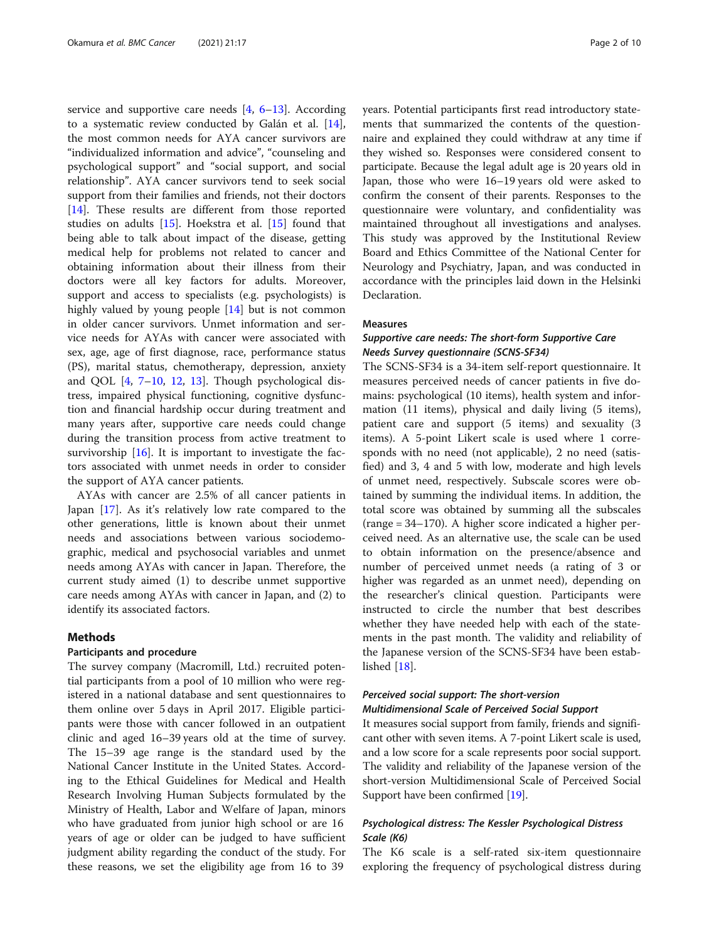service and supportive care needs  $[4, 6-13]$  $[4, 6-13]$  $[4, 6-13]$  $[4, 6-13]$  $[4, 6-13]$  $[4, 6-13]$ . According to a systematic review conducted by Galán et al. [\[14](#page-8-0)], the most common needs for AYA cancer survivors are "individualized information and advice", "counseling and psychological support" and "social support, and social relationship". AYA cancer survivors tend to seek social support from their families and friends, not their doctors [[14\]](#page-8-0). These results are different from those reported studies on adults [\[15](#page-8-0)]. Hoekstra et al. [\[15\]](#page-8-0) found that being able to talk about impact of the disease, getting medical help for problems not related to cancer and obtaining information about their illness from their doctors were all key factors for adults. Moreover, support and access to specialists (e.g. psychologists) is highly valued by young people [[14\]](#page-8-0) but is not common in older cancer survivors. Unmet information and service needs for AYAs with cancer were associated with sex, age, age of first diagnose, race, performance status (PS), marital status, chemotherapy, depression, anxiety and QOL [[4,](#page-8-0) [7](#page-8-0)–[10,](#page-8-0) [12](#page-8-0), [13\]](#page-8-0). Though psychological distress, impaired physical functioning, cognitive dysfunction and financial hardship occur during treatment and many years after, supportive care needs could change during the transition process from active treatment to survivorship  $[16]$  $[16]$ . It is important to investigate the factors associated with unmet needs in order to consider the support of AYA cancer patients.

AYAs with cancer are 2.5% of all cancer patients in Japan [\[17\]](#page-8-0). As it's relatively low rate compared to the other generations, little is known about their unmet needs and associations between various sociodemographic, medical and psychosocial variables and unmet needs among AYAs with cancer in Japan. Therefore, the current study aimed (1) to describe unmet supportive care needs among AYAs with cancer in Japan, and (2) to identify its associated factors.

#### Methods

#### Participants and procedure

The survey company (Macromill, Ltd.) recruited potential participants from a pool of 10 million who were registered in a national database and sent questionnaires to them online over 5 days in April 2017. Eligible participants were those with cancer followed in an outpatient clinic and aged 16–39 years old at the time of survey. The 15–39 age range is the standard used by the National Cancer Institute in the United States. According to the Ethical Guidelines for Medical and Health Research Involving Human Subjects formulated by the Ministry of Health, Labor and Welfare of Japan, minors who have graduated from junior high school or are 16 years of age or older can be judged to have sufficient judgment ability regarding the conduct of the study. For these reasons, we set the eligibility age from 16 to 39

years. Potential participants first read introductory statements that summarized the contents of the questionnaire and explained they could withdraw at any time if they wished so. Responses were considered consent to participate. Because the legal adult age is 20 years old in Japan, those who were 16–19 years old were asked to confirm the consent of their parents. Responses to the questionnaire were voluntary, and confidentiality was maintained throughout all investigations and analyses. This study was approved by the Institutional Review Board and Ethics Committee of the National Center for Neurology and Psychiatry, Japan, and was conducted in accordance with the principles laid down in the Helsinki Declaration.

### Measures

## Supportive care needs: The short-form Supportive Care Needs Survey questionnaire (SCNS-SF34)

The SCNS-SF34 is a 34-item self-report questionnaire. It measures perceived needs of cancer patients in five domains: psychological (10 items), health system and information (11 items), physical and daily living (5 items), patient care and support (5 items) and sexuality (3 items). A 5-point Likert scale is used where 1 corresponds with no need (not applicable), 2 no need (satisfied) and 3, 4 and 5 with low, moderate and high levels of unmet need, respectively. Subscale scores were obtained by summing the individual items. In addition, the total score was obtained by summing all the subscales (range = 34–170). A higher score indicated a higher perceived need. As an alternative use, the scale can be used to obtain information on the presence/absence and number of perceived unmet needs (a rating of 3 or higher was regarded as an unmet need), depending on the researcher's clinical question. Participants were instructed to circle the number that best describes whether they have needed help with each of the statements in the past month. The validity and reliability of the Japanese version of the SCNS-SF34 have been established [[18](#page-8-0)].

## Perceived social support: The short-version

## Multidimensional Scale of Perceived Social Support

It measures social support from family, friends and significant other with seven items. A 7-point Likert scale is used, and a low score for a scale represents poor social support. The validity and reliability of the Japanese version of the short-version Multidimensional Scale of Perceived Social Support have been confirmed [[19](#page-8-0)].

## Psychological distress: The Kessler Psychological Distress Scale (K6)

The K6 scale is a self-rated six-item questionnaire exploring the frequency of psychological distress during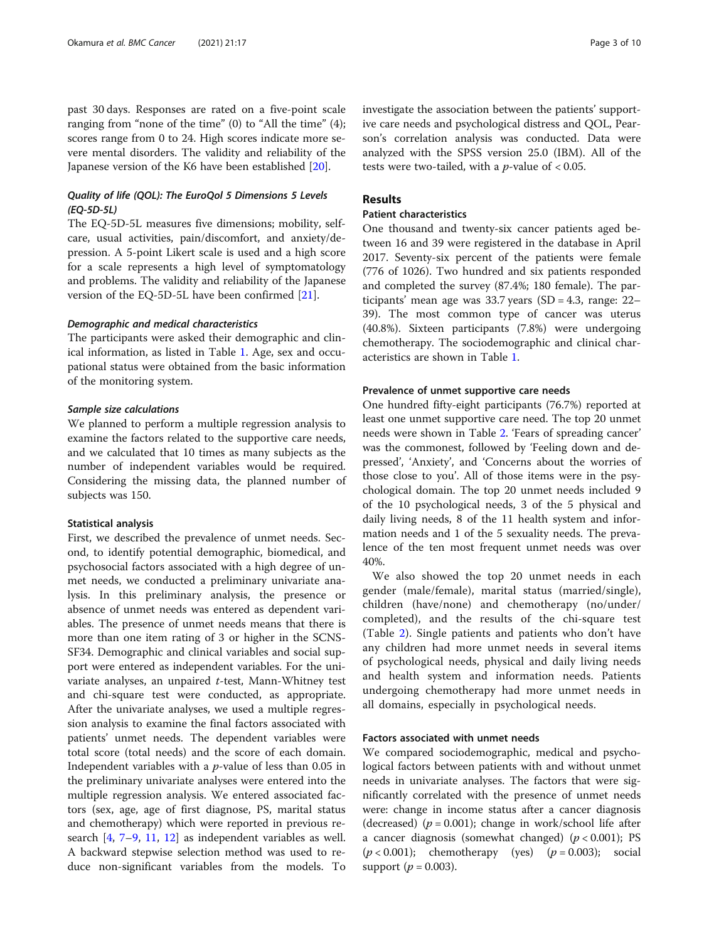past 30 days. Responses are rated on a five-point scale ranging from "none of the time" (0) to "All the time" (4); scores range from 0 to 24. High scores indicate more severe mental disorders. The validity and reliability of the Japanese version of the K6 have been established [[20\]](#page-8-0).

## Quality of life (QOL): The EuroQol 5 Dimensions 5 Levels (EQ-5D-5L)

The EQ-5D-5L measures five dimensions; mobility, selfcare, usual activities, pain/discomfort, and anxiety/depression. A 5-point Likert scale is used and a high score for a scale represents a high level of symptomatology and problems. The validity and reliability of the Japanese version of the EQ-5D-5L have been confirmed [\[21](#page-8-0)].

#### Demographic and medical characteristics

The participants were asked their demographic and clinical information, as listed in Table [1](#page-3-0). Age, sex and occupational status were obtained from the basic information of the monitoring system.

#### Sample size calculations

We planned to perform a multiple regression analysis to examine the factors related to the supportive care needs, and we calculated that 10 times as many subjects as the number of independent variables would be required. Considering the missing data, the planned number of subjects was 150.

#### Statistical analysis

First, we described the prevalence of unmet needs. Second, to identify potential demographic, biomedical, and psychosocial factors associated with a high degree of unmet needs, we conducted a preliminary univariate analysis. In this preliminary analysis, the presence or absence of unmet needs was entered as dependent variables. The presence of unmet needs means that there is more than one item rating of 3 or higher in the SCNS-SF34. Demographic and clinical variables and social support were entered as independent variables. For the univariate analyses, an unpaired t-test, Mann-Whitney test and chi-square test were conducted, as appropriate. After the univariate analyses, we used a multiple regression analysis to examine the final factors associated with patients' unmet needs. The dependent variables were total score (total needs) and the score of each domain. Independent variables with a  $p$ -value of less than 0.05 in the preliminary univariate analyses were entered into the multiple regression analysis. We entered associated factors (sex, age, age of first diagnose, PS, marital status and chemotherapy) which were reported in previous research [[4,](#page-8-0) [7](#page-8-0)–[9](#page-8-0), [11,](#page-8-0) [12\]](#page-8-0) as independent variables as well. A backward stepwise selection method was used to reduce non-significant variables from the models. To

investigate the association between the patients' supportive care needs and psychological distress and QOL, Pearson's correlation analysis was conducted. Data were analyzed with the SPSS version 25.0 (IBM). All of the tests were two-tailed, with a  $p$ -value of < 0.05.

## Results

### Patient characteristics

One thousand and twenty-six cancer patients aged between 16 and 39 were registered in the database in April 2017. Seventy-six percent of the patients were female (776 of 1026). Two hundred and six patients responded and completed the survey (87.4%; 180 female). The participants' mean age was 33.7 years (SD = 4.3, range: 22– 39). The most common type of cancer was uterus (40.8%). Sixteen participants (7.8%) were undergoing chemotherapy. The sociodemographic and clinical characteristics are shown in Table [1.](#page-3-0)

#### Prevalence of unmet supportive care needs

One hundred fifty-eight participants (76.7%) reported at least one unmet supportive care need. The top 20 unmet needs were shown in Table [2.](#page-5-0) 'Fears of spreading cancer' was the commonest, followed by 'Feeling down and depressed', 'Anxiety', and 'Concerns about the worries of those close to you'. All of those items were in the psychological domain. The top 20 unmet needs included 9 of the 10 psychological needs, 3 of the 5 physical and daily living needs, 8 of the 11 health system and information needs and 1 of the 5 sexuality needs. The prevalence of the ten most frequent unmet needs was over 40%.

We also showed the top 20 unmet needs in each gender (male/female), marital status (married/single), children (have/none) and chemotherapy (no/under/ completed), and the results of the chi-square test (Table [2\)](#page-5-0). Single patients and patients who don't have any children had more unmet needs in several items of psychological needs, physical and daily living needs and health system and information needs. Patients undergoing chemotherapy had more unmet needs in all domains, especially in psychological needs.

## Factors associated with unmet needs

We compared sociodemographic, medical and psychological factors between patients with and without unmet needs in univariate analyses. The factors that were significantly correlated with the presence of unmet needs were: change in income status after a cancer diagnosis (decreased) ( $p = 0.001$ ); change in work/school life after a cancer diagnosis (somewhat changed)  $(p < 0.001)$ ; PS  $(p < 0.001)$ ; chemotherapy (yes)  $(p = 0.003)$ ; social support ( $p = 0.003$ ).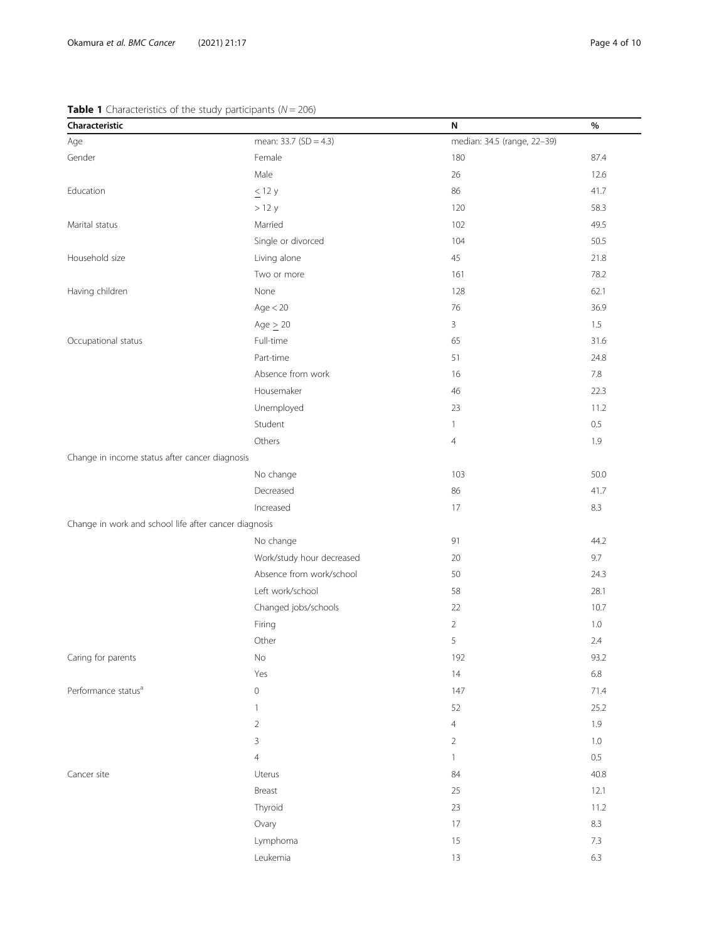## <span id="page-3-0"></span>**Table 1** Characteristics of the study participants ( $N = 206$ )

| $\bullet$ $\bullet$ characteristics of the stady participatits $\mathfrak{p}\left( \cdot\right)$<br>Characteristic | $-\circ$ $\circ$ $\prime$ | N                           | %       |
|--------------------------------------------------------------------------------------------------------------------|---------------------------|-----------------------------|---------|
| Age                                                                                                                | mean: 33.7 (SD = 4.3)     | median: 34.5 (range, 22-39) |         |
| Gender                                                                                                             | Female                    | 180                         | 87.4    |
|                                                                                                                    | Male                      | 26                          | 12.6    |
| Education                                                                                                          | $\leq$ 12 y               | 86                          | 41.7    |
|                                                                                                                    | >12 y                     | 120                         | 58.3    |
| Marital status                                                                                                     | Married                   | 102                         | 49.5    |
|                                                                                                                    | Single or divorced        | 104                         | 50.5    |
| Household size                                                                                                     | Living alone              | 45                          | 21.8    |
|                                                                                                                    | Two or more               | 161                         | 78.2    |
| Having children                                                                                                    | None                      | 128                         | 62.1    |
|                                                                                                                    | Age < 20                  | 76                          | 36.9    |
|                                                                                                                    | Age $> 20$                | 3                           | 1.5     |
| Occupational status                                                                                                | Full-time                 | 65                          | 31.6    |
|                                                                                                                    | Part-time                 | 51                          | 24.8    |
|                                                                                                                    | Absence from work         | 16                          | 7.8     |
|                                                                                                                    | Housemaker                | 46                          | 22.3    |
|                                                                                                                    | Unemployed                | 23                          | 11.2    |
|                                                                                                                    | Student                   | $\mathbf{1}$                | 0.5     |
|                                                                                                                    | Others                    | $\overline{4}$              | 1.9     |
| Change in income status after cancer diagnosis                                                                     |                           |                             |         |
|                                                                                                                    | No change                 | 103                         | 50.0    |
|                                                                                                                    | Decreased                 | 86                          | 41.7    |
|                                                                                                                    | Increased                 | 17                          | 8.3     |
| Change in work and school life after cancer diagnosis                                                              |                           |                             |         |
|                                                                                                                    | No change                 | 91                          | 44.2    |
|                                                                                                                    | Work/study hour decreased | 20                          | 9.7     |
|                                                                                                                    | Absence from work/school  | 50                          | 24.3    |
|                                                                                                                    | Left work/school          | 58                          | 28.1    |
|                                                                                                                    | Changed jobs/schools      | 22                          | 10.7    |
|                                                                                                                    | Firing                    | $\overline{2}$              | 1.0     |
|                                                                                                                    | Other                     | 5                           | 2.4     |
| Caring for parents                                                                                                 | $\rm No$                  | 192                         | 93.2    |
|                                                                                                                    | Yes                       | 14                          | 6.8     |
| Performance status <sup>a</sup>                                                                                    | $\mathbf 0$               | 147                         | 71.4    |
|                                                                                                                    | $\mathbf{1}$              | 52                          | 25.2    |
|                                                                                                                    | $\overline{2}$            | $\overline{4}$              | 1.9     |
|                                                                                                                    | 3                         | $\sqrt{2}$                  | 1.0     |
|                                                                                                                    | $\overline{4}$            | $\mathbf{1}$                | 0.5     |
| Cancer site                                                                                                        | Uterus                    | 84                          | 40.8    |
|                                                                                                                    | Breast                    | 25                          | 12.1    |
|                                                                                                                    | Thyroid                   | 23                          | 11.2    |
|                                                                                                                    | Ovary                     | 17                          | $8.3\,$ |
|                                                                                                                    | Lymphoma                  | 15                          | 7.3     |
|                                                                                                                    | Leukemia                  | $13$                        | 6.3     |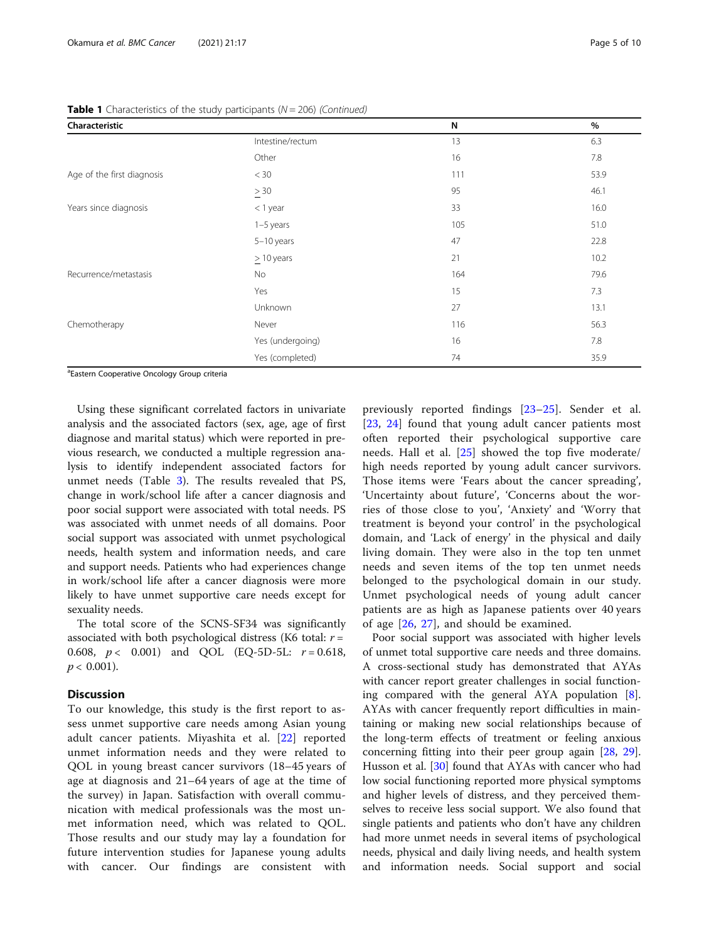| Characteristic                                                                                                                                                                                                                                                                                                                     |                  | N   | $\%$ |
|------------------------------------------------------------------------------------------------------------------------------------------------------------------------------------------------------------------------------------------------------------------------------------------------------------------------------------|------------------|-----|------|
|                                                                                                                                                                                                                                                                                                                                    | Intestine/rectum | 13  | 6.3  |
|                                                                                                                                                                                                                                                                                                                                    | Other            | 16  | 7.8  |
| Age of the first diagnosis                                                                                                                                                                                                                                                                                                         | $<$ 30           | 111 | 53.9 |
|                                                                                                                                                                                                                                                                                                                                    | $\geq 30$        | 95  | 46.1 |
| Years since diagnosis                                                                                                                                                                                                                                                                                                              | $<$ 1 year       | 33  | 16.0 |
|                                                                                                                                                                                                                                                                                                                                    | 1-5 years        | 105 | 51.0 |
|                                                                                                                                                                                                                                                                                                                                    | 5-10 years       | 47  | 22.8 |
|                                                                                                                                                                                                                                                                                                                                    | $\geq$ 10 years  | 21  | 10.2 |
| Recurrence/metastasis                                                                                                                                                                                                                                                                                                              | <b>No</b>        | 164 | 79.6 |
|                                                                                                                                                                                                                                                                                                                                    | Yes              | 15  | 7.3  |
|                                                                                                                                                                                                                                                                                                                                    | Unknown          | 27  | 13.1 |
| Chemotherapy                                                                                                                                                                                                                                                                                                                       | Never            | 116 | 56.3 |
|                                                                                                                                                                                                                                                                                                                                    | Yes (undergoing) | 16  | 7.8  |
| $\overline{a}$ and $\overline{a}$ and $\overline{a}$ and $\overline{a}$ and $\overline{a}$ and $\overline{a}$ and $\overline{a}$ and $\overline{a}$ and $\overline{a}$ and $\overline{a}$ and $\overline{a}$ and $\overline{a}$ and $\overline{a}$ and $\overline{a}$ and $\overline{a}$ and $\overline{a}$ and $\overline{a}$ and | Yes (completed)  | 74  | 35.9 |

**Table 1** Characteristics of the study participants ( $N = 206$ ) (Continued)

<sup>a</sup>Eastern Cooperative Oncology Group criteria

Using these significant correlated factors in univariate analysis and the associated factors (sex, age, age of first diagnose and marital status) which were reported in previous research, we conducted a multiple regression analysis to identify independent associated factors for unmet needs (Table [3](#page-7-0)). The results revealed that PS, change in work/school life after a cancer diagnosis and poor social support were associated with total needs. PS was associated with unmet needs of all domains. Poor social support was associated with unmet psychological needs, health system and information needs, and care and support needs. Patients who had experiences change in work/school life after a cancer diagnosis were more likely to have unmet supportive care needs except for sexuality needs.

The total score of the SCNS-SF34 was significantly associated with both psychological distress (K6 total:  $r =$ 0.608,  $p < 0.001$ ) and QOL (EQ-5D-5L:  $r = 0.618$ ,  $p < 0.001$ ).

#### Discussion

To our knowledge, this study is the first report to assess unmet supportive care needs among Asian young adult cancer patients. Miyashita et al. [[22\]](#page-8-0) reported unmet information needs and they were related to QOL in young breast cancer survivors (18–45 years of age at diagnosis and 21–64 years of age at the time of the survey) in Japan. Satisfaction with overall communication with medical professionals was the most unmet information need, which was related to QOL. Those results and our study may lay a foundation for future intervention studies for Japanese young adults with cancer. Our findings are consistent with

previously reported findings [\[23](#page-9-0)–[25](#page-9-0)]. Sender et al. [[23,](#page-9-0) [24\]](#page-9-0) found that young adult cancer patients most often reported their psychological supportive care needs. Hall et al. [[25\]](#page-9-0) showed the top five moderate/ high needs reported by young adult cancer survivors. Those items were 'Fears about the cancer spreading', 'Uncertainty about future', 'Concerns about the worries of those close to you', 'Anxiety' and 'Worry that treatment is beyond your control' in the psychological domain, and 'Lack of energy' in the physical and daily living domain. They were also in the top ten unmet needs and seven items of the top ten unmet needs belonged to the psychological domain in our study. Unmet psychological needs of young adult cancer patients are as high as Japanese patients over 40 years of age [[26,](#page-9-0) [27\]](#page-9-0), and should be examined.

Poor social support was associated with higher levels of unmet total supportive care needs and three domains. A cross-sectional study has demonstrated that AYAs with cancer report greater challenges in social functioning compared with the general AYA population [\[8](#page-8-0)]. AYAs with cancer frequently report difficulties in maintaining or making new social relationships because of the long-term effects of treatment or feeling anxious concerning fitting into their peer group again [\[28,](#page-9-0) [29](#page-9-0)]. Husson et al. [\[30](#page-9-0)] found that AYAs with cancer who had low social functioning reported more physical symptoms and higher levels of distress, and they perceived themselves to receive less social support. We also found that single patients and patients who don't have any children had more unmet needs in several items of psychological needs, physical and daily living needs, and health system and information needs. Social support and social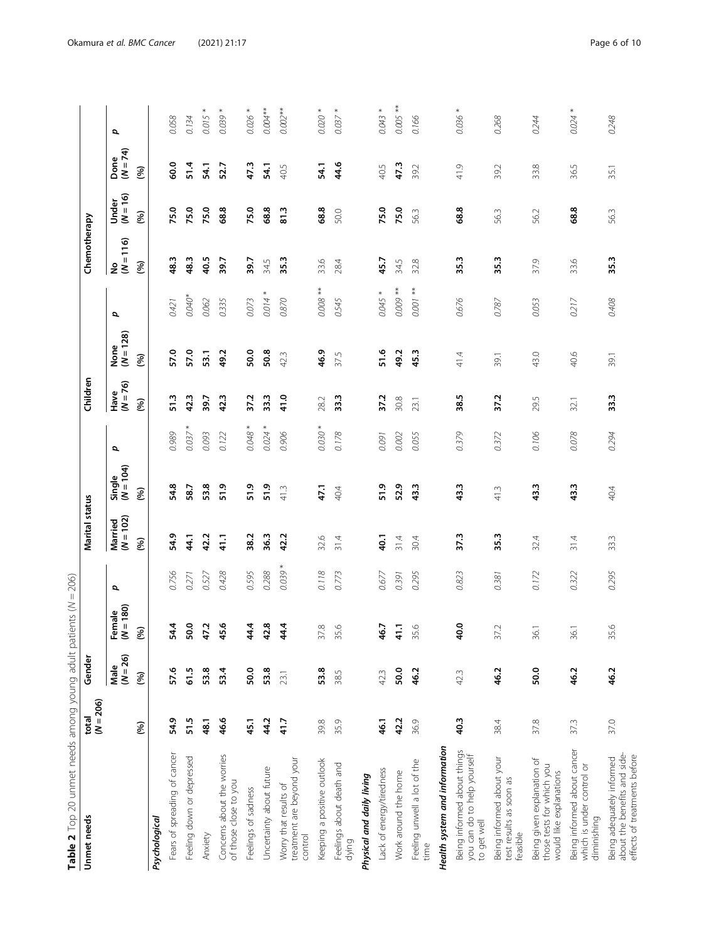<span id="page-5-0"></span>

| Table 2 Top 20 unmet needs among young adult patients ( $N = 206$ )                       |                      |                    |                       |          |                        |                       |           |                    |                     |                     |                                |                     |                      |                 |
|-------------------------------------------------------------------------------------------|----------------------|--------------------|-----------------------|----------|------------------------|-----------------------|-----------|--------------------|---------------------|---------------------|--------------------------------|---------------------|----------------------|-----------------|
| Unmet needs                                                                               | $(N = 206)$<br>total | Gender             |                       |          | Marital status         |                       |           | Children           |                     |                     | Chemotherapy                   |                     |                      |                 |
|                                                                                           |                      | $(N = 26)$<br>Male | $(N = 180)$<br>Female | đ        | $(N = 102)$<br>Married | $(M = 104)$<br>Single | đ         | $(N = 76)$<br>Have | None<br>$(M = 128)$ | đ                   | $\frac{N_{\text{O}}}{N} = 116$ | $(N = 16)$<br>Under | Done<br>( $N = 74$ ) | đ               |
|                                                                                           | (96)                 | (96)               | (96)                  |          | (96)                   | (%)                   |           | (96)               | (96)                |                     | (96)                           | (%)                 | (96)                 |                 |
| Psychological                                                                             |                      |                    |                       |          |                        |                       |           |                    |                     |                     |                                |                     |                      |                 |
| Fears of spreading of cancer                                                              | 54.9                 | 57.6               | 54.4                  | 0.756    | 54.9                   | 54.8                  | 0.989     | 51.3               | 57.0                | 0.421               | 48.3                           | 75.0                | 60.0                 | 0.058           |
| Feeling down or depressed                                                                 | 51.5                 | 61.5               | 50.0                  | 0.271    | 44.1                   | 58.7                  | 0.037     | 42.3               | 57.0                | $0.040*$            | 48.3                           | 75.0                | 51.4                 | 0.134           |
| Anxiety                                                                                   | 48.1                 | 53.8               | 47.2                  | 0.527    | 42.2                   | 53.8                  | 0.093     | 39.7               | 53.1                | 0.062               | 40.5                           | 75.0                | 54.1                 | *<br>0.015      |
| Concerns about the worries<br>of those close to you                                       | 46.6                 | 53.4               | 45.6                  | 0.428    | 41.1                   | 51.9                  | 0.122     | 42.3               | 49.2                | 0.335               | 39.7                           | 68.8                | 52.7                 | *<br>0.039      |
| Feelings of sadness                                                                       | 45.1                 | 50.0               | 4.4                   | 0.595    | 38.2                   | 51.9                  | $0.048 *$ | 37.2               | 50.0                | 0.073               | 39.7                           | 75.0                | 47.3                 | $0.026 *$       |
| Uncertainty about future                                                                  | 44.2                 | 53.8               | 42.8                  | 0.288    | 36.3                   | 51.9                  | 0.024     | 33.3               | 50.8                | $\ast$<br>0.014     | 34.5                           | 68.8                | 54.1                 | $0.004**$       |
| treatment are beyond your<br>Worry that results of<br>control                             | 41.7                 | 23.1               | 44.4                  | $0.039*$ | 42.2                   | 41.3                  | 0.906     | 41.0               | 423                 | 0.870               | 35.3                           | $\frac{3}{8}$       | 40.5                 | $0.002**$       |
| Keeping a positive outlook                                                                | 39.8                 | 53.8               | 37.8                  | 0.118    | 32.6                   | 47.1                  | $0.030*$  | 28.2               | 46.9                | $0.008$ **          | 33.6                           | 68.8                | 54.1                 | $0.020*$        |
| Feelings about death and<br>dying                                                         | 35.9                 | 38.5               | 35.6                  | 0.773    | 31.4                   | 40.4                  | 0.178     | 33.3               | 37.5                | 0.545               | 28.4                           | 50.0                | 44.6                 | $\ast$<br>0.037 |
| Physical and daily living                                                                 |                      |                    |                       |          |                        |                       |           |                    |                     |                     |                                |                     |                      |                 |
| Lack of energy/tiredness                                                                  | 46.1                 | 423                | 46.7                  | 0.677    | 40.1                   | 51.9                  | 0.091     | 37.2               | 51.6                | $0.045*$            | 45.7                           | 75.0                | 40.5                 | $\ast$<br>0.043 |
| Work around the home                                                                      | 42.2                 | 50.0               | $-1.1$                | 0.391    | 31.4                   | 52.9                  | 0.002     | 30.8               | 49.2                | $0.009**$           | 34.5                           | 75.0                | 47.3                 | $0.005**$       |
| Feeling unwell a lot of the<br>time                                                       | 36.9                 | 46.2               | 35.6                  | 0.295    | 30.4                   | 43.3                  | 0.055     | 23.1               | 45.3                | $\ddot{*}$<br>0.001 | 32.8                           | 56.3                | 39.2                 | 0.166           |
| Health system and information                                                             |                      |                    |                       |          |                        |                       |           |                    |                     |                     |                                |                     |                      |                 |
| Being informed about things<br>you can do to help yourself<br>to get well                 | 40.3                 | 42.3               | 40.0                  | 0.823    | 37.3                   | 43.3                  | 0.379     | 38.5               | 41.4                | 0.676               | 35.3                           | 68.8                | 41.9                 | *<br>0.036      |
| Being informed about your<br>test results as soon as<br>feasible                          | 38.4                 | 46.2               | 37.2                  | 0.381    | 35.3                   | 41.3                  | 0.372     | 37.2               | 39.1                | 0.787               | 35.3                           | 56.3                | 39.2                 | 0.268           |
| Being given explanation of<br>those tests for which you<br>would like explanations        | 37.8                 | 50.0               | 36.1                  | 0.172    | 32.4                   | 43.3                  | 0.106     | 29.5               | 43.0                | 0.053               | 37.9                           | 56.2                | 33.8                 | 0.244           |
| Being informed about cancer<br>which is under control or<br>diminishing                   | 373                  | 46.2               | 36.1                  | 0.322    | 31.4                   | 43.3                  | 0.078     | 32.1               | 40.6                | 0.217               | 33.6                           | 68.8                | 36.5                 | $\ast$<br>0.024 |
| about the benefits and side-<br>effects of treatments before<br>Being adequately informed | 37.0                 | 46.2               | 35.6                  | 0.295    | 33.3                   | 40.4                  | 0.294     | 33.3               | 39.1                | 0.408               | 35.3                           | 56.3                | 35.1                 | 0.248           |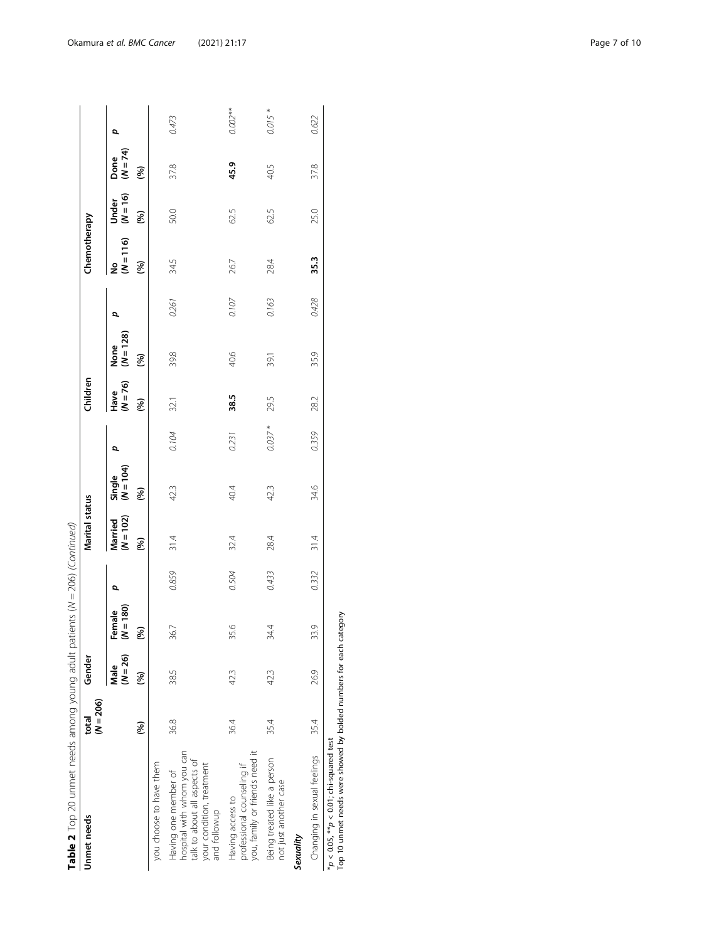| Table 2 Top 20 unmet needs among young adult patients ( $N = 206$ ) (Continued)                                                 |                      |                    |                       |       |                      |                       |           |                  |                     |       |                  |                     |                  |            |
|---------------------------------------------------------------------------------------------------------------------------------|----------------------|--------------------|-----------------------|-------|----------------------|-----------------------|-----------|------------------|---------------------|-------|------------------|---------------------|------------------|------------|
| Unmet needs                                                                                                                     | $(N = 206)$<br>total | Gender             |                       |       | Marital status       |                       |           | Children         |                     |       | Chemotherapy     |                     |                  |            |
|                                                                                                                                 |                      | $(N = 26)$<br>Male | $(N = 180)$<br>Female | p     | Married<br>(N = 102) | Single<br>$(M = 104)$ |           | Have<br>$(M=76)$ | $(N = 128)$<br>None | ρ     | $(N = 116)$<br>ş | $(N = 16)$<br>Under | Done<br>$(N=74)$ | ρ          |
|                                                                                                                                 | (%)                  | (%)                | $\mathcal{S}$         |       | (96)                 | (%)                   |           | (%)              | (96)                |       | (%)              | (96)                | (96)             |            |
| you choose to have them                                                                                                         |                      |                    |                       |       |                      |                       |           |                  |                     |       |                  |                     |                  |            |
| hospital with whom you can<br>talk to about all aspects of<br>your condition, treatment<br>Having one member of<br>and followup | 36.8                 | 385                | 36.7                  | 0.859 | 31.4                 | 42.3                  | 0.104     | 32.1             | 39.8                | 0.261 | 34.5             | 50.0                | 37.8             | 0.473      |
| you, family or friends need it<br>professional counseling if<br>Having access to                                                | 36.4                 | 42.3               | 35.6                  | 0.504 | 32.4                 | 40.4                  | 0.231     | 38.5             | 40.6                | 0.107 | 26.7             | 62.5                | 45.9             | $0.002***$ |
| Being treated like a person<br>not just another case                                                                            | 35.4                 | 423                | 34.4                  | 0.433 | 28.4                 | 42.3                  | $0.037 *$ | 29.5             | 39.1                | 0.163 | 28.4             | 62.5                | 40.5             | $0.015*$   |
| Sexuality                                                                                                                       |                      |                    |                       |       |                      |                       |           |                  |                     |       |                  |                     |                  |            |
| Changing in sexual feelings                                                                                                     | 35.4                 | 26.9               | 33.9                  | 0.332 | 31.4                 | 34.6                  | 0.359     | 28.2             | 35.9                | 0.428 | 35.3             | 25.0                | 37.8             | 0.622      |
| Top 10 unmet needs were showed by bolded numbers for each category<br>$*p < 0.05$ , $*p < 0.01$ ; chi-squared test              |                      |                    |                       |       |                      |                       |           |                  |                     |       |                  |                     |                  |            |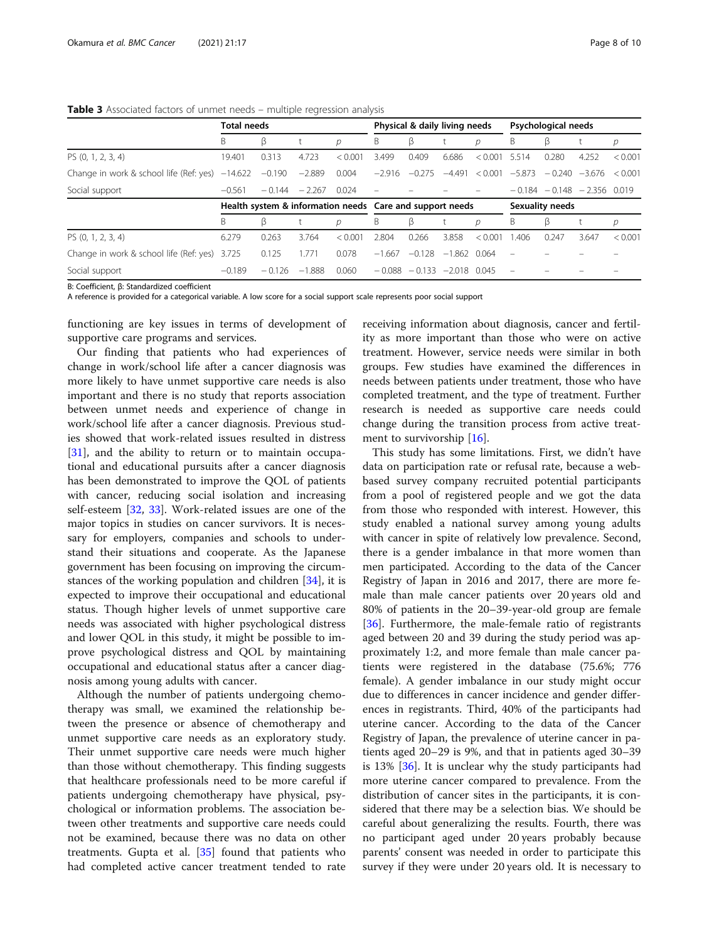<span id="page-7-0"></span>

| <b>Table 3</b> Associated factors of unmet needs – multiple regression analysis |  |  |  |
|---------------------------------------------------------------------------------|--|--|--|
|                                                                                 |  |  |  |

|                                                          | <b>Total needs</b>                                       |          |          |               |          | Physical & daily living needs  |                |         |                                      | Psychological needs            |                         |         |
|----------------------------------------------------------|----------------------------------------------------------|----------|----------|---------------|----------|--------------------------------|----------------|---------|--------------------------------------|--------------------------------|-------------------------|---------|
|                                                          | B                                                        | β        |          | $\mathcal{D}$ | Β        | β                              |                | р       | Β                                    | β                              |                         | р       |
| PS (0, 1, 2, 3, 4)                                       | 19.401                                                   | 0.313    | 4.723    | < 0.001       | 3.499    | 0.409                          | 6.686          | < 0.001 | 5.514                                | 0.280                          | 4.252                   | < 0.001 |
| Change in work & school life (Ref: yes) $-14.622 -0.190$ |                                                          |          | $-2.889$ | 0.004         | $-2.916$ |                                |                |         | $-0.275$ $-4.491$ $< 0.001$ $-5.873$ |                                | $-0.240 -3.676 < 0.001$ |         |
| Social support                                           | $-0.561$                                                 | $-0.144$ | $-2.267$ | 0.024         |          |                                |                |         |                                      | $-0.184 - 0.148 - 2.356$ 0.019 |                         |         |
|                                                          | Health system & information needs Care and support needs |          |          |               |          |                                |                |         |                                      | <b>Sexuality needs</b>         |                         |         |
|                                                          | B                                                        | ß        |          | р             | B        | ß                              |                | D       | В                                    | β                              |                         | р       |
| PS (0, 1, 2, 3, 4)                                       | 6.279                                                    | 0.263    | 3.764    | < 0.001       | 2.804    | 0.266                          | 3.858          | < 0.001 | .406                                 | 0.247                          | 3.647                   | < 0.001 |
| Change in work & school life (Ref: yes) 3.725            |                                                          | 0.125    | .771     | 0.078         | $-1.667$ | $-0.128$                       | $-1.862$ 0.064 |         |                                      |                                |                         |         |
| Social support                                           | $-0.189$                                                 | $-0.126$ | $-1.888$ | 0.060         |          | $-0.088 - 0.133 - 2.018$ 0.045 |                |         |                                      |                                |                         |         |

B: Coefficient, β: Standardized coefficient

A reference is provided for a categorical variable. A low score for a social support scale represents poor social support

functioning are key issues in terms of development of supportive care programs and services.

Our finding that patients who had experiences of change in work/school life after a cancer diagnosis was more likely to have unmet supportive care needs is also important and there is no study that reports association between unmet needs and experience of change in work/school life after a cancer diagnosis. Previous studies showed that work-related issues resulted in distress [[31\]](#page-9-0), and the ability to return or to maintain occupational and educational pursuits after a cancer diagnosis has been demonstrated to improve the QOL of patients with cancer, reducing social isolation and increasing self-esteem [\[32](#page-9-0), [33\]](#page-9-0). Work-related issues are one of the major topics in studies on cancer survivors. It is necessary for employers, companies and schools to understand their situations and cooperate. As the Japanese government has been focusing on improving the circumstances of the working population and children [\[34](#page-9-0)], it is expected to improve their occupational and educational status. Though higher levels of unmet supportive care needs was associated with higher psychological distress and lower QOL in this study, it might be possible to improve psychological distress and QOL by maintaining occupational and educational status after a cancer diagnosis among young adults with cancer.

Although the number of patients undergoing chemotherapy was small, we examined the relationship between the presence or absence of chemotherapy and unmet supportive care needs as an exploratory study. Their unmet supportive care needs were much higher than those without chemotherapy. This finding suggests that healthcare professionals need to be more careful if patients undergoing chemotherapy have physical, psychological or information problems. The association between other treatments and supportive care needs could not be examined, because there was no data on other treatments. Gupta et al. [[35\]](#page-9-0) found that patients who had completed active cancer treatment tended to rate receiving information about diagnosis, cancer and fertility as more important than those who were on active treatment. However, service needs were similar in both groups. Few studies have examined the differences in needs between patients under treatment, those who have completed treatment, and the type of treatment. Further research is needed as supportive care needs could change during the transition process from active treatment to survivorship  $[16]$ .

This study has some limitations. First, we didn't have data on participation rate or refusal rate, because a webbased survey company recruited potential participants from a pool of registered people and we got the data from those who responded with interest. However, this study enabled a national survey among young adults with cancer in spite of relatively low prevalence. Second, there is a gender imbalance in that more women than men participated. According to the data of the Cancer Registry of Japan in 2016 and 2017, there are more female than male cancer patients over 20 years old and 80% of patients in the 20–39-year-old group are female [[36\]](#page-9-0). Furthermore, the male-female ratio of registrants aged between 20 and 39 during the study period was approximately 1:2, and more female than male cancer patients were registered in the database (75.6%; 776 female). A gender imbalance in our study might occur due to differences in cancer incidence and gender differences in registrants. Third, 40% of the participants had uterine cancer. According to the data of the Cancer Registry of Japan, the prevalence of uterine cancer in patients aged 20–29 is 9%, and that in patients aged 30–39 is 13% [[36\]](#page-9-0). It is unclear why the study participants had more uterine cancer compared to prevalence. From the distribution of cancer sites in the participants, it is considered that there may be a selection bias. We should be careful about generalizing the results. Fourth, there was no participant aged under 20 years probably because parents' consent was needed in order to participate this survey if they were under 20 years old. It is necessary to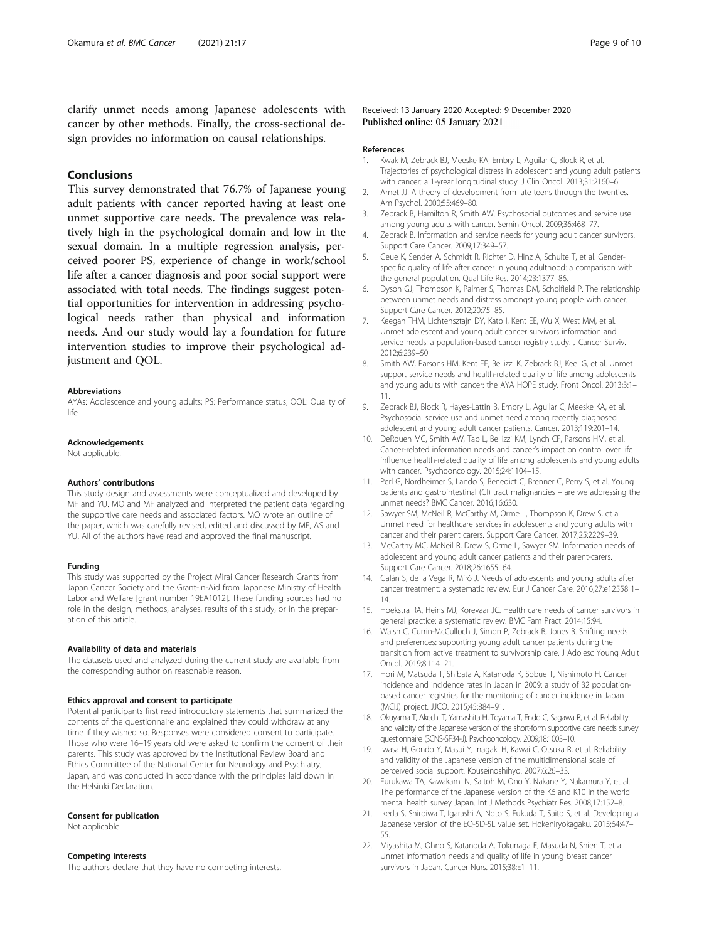<span id="page-8-0"></span>clarify unmet needs among Japanese adolescents with cancer by other methods. Finally, the cross-sectional design provides no information on causal relationships.

## Conclusions

This survey demonstrated that 76.7% of Japanese young adult patients with cancer reported having at least one unmet supportive care needs. The prevalence was relatively high in the psychological domain and low in the sexual domain. In a multiple regression analysis, perceived poorer PS, experience of change in work/school life after a cancer diagnosis and poor social support were associated with total needs. The findings suggest potential opportunities for intervention in addressing psychological needs rather than physical and information needs. And our study would lay a foundation for future intervention studies to improve their psychological adjustment and QOL.

#### Abbreviations

AYAs: Adolescence and young adults; PS: Performance status; QOL: Quality of life

#### Acknowledgements

Not applicable.

#### Authors' contributions

This study design and assessments were conceptualized and developed by MF and YU. MO and MF analyzed and interpreted the patient data regarding the supportive care needs and associated factors. MO wrote an outline of the paper, which was carefully revised, edited and discussed by MF, AS and YU. All of the authors have read and approved the final manuscript.

#### Funding

This study was supported by the Project Mirai Cancer Research Grants from Japan Cancer Society and the Grant-in-Aid from Japanese Ministry of Health Labor and Welfare [grant number 19EA1012]. These funding sources had no role in the design, methods, analyses, results of this study, or in the preparation of this article.

#### Availability of data and materials

The datasets used and analyzed during the current study are available from the corresponding author on reasonable reason.

#### Ethics approval and consent to participate

Potential participants first read introductory statements that summarized the contents of the questionnaire and explained they could withdraw at any time if they wished so. Responses were considered consent to participate. Those who were 16–19 years old were asked to confirm the consent of their parents. This study was approved by the Institutional Review Board and Ethics Committee of the National Center for Neurology and Psychiatry, Japan, and was conducted in accordance with the principles laid down in the Helsinki Declaration.

#### Consent for publication

Not applicable.

#### Competing interests

The authors declare that they have no competing interests.

#### Received: 13 January 2020 Accepted: 9 December 2020 Published online: 05 January 2021

#### References

- 1. Kwak M, Zebrack BJ, Meeske KA, Embry L, Aguilar C, Block R, et al. Trajectories of psychological distress in adolescent and young adult patients with cancer: a 1-yrear longitudinal study. J Clin Oncol. 2013;31:2160–6.
- 2. Arnet JJ. A theory of development from late teens through the twenties. Am Psychol. 2000;55:469–80.
- 3. Zebrack B, Hamilton R, Smith AW. Psychosocial outcomes and service use among young adults with cancer. Semin Oncol. 2009;36:468–77.
- 4. Zebrack B. Information and service needs for young adult cancer survivors. Support Care Cancer. 2009;17:349–57.
- 5. Geue K, Sender A, Schmidt R, Richter D, Hinz A, Schulte T, et al. Genderspecific quality of life after cancer in young adulthood: a comparison with the general population. Qual Life Res. 2014;23:1377–86.
- 6. Dyson GJ, Thompson K, Palmer S, Thomas DM, Scholfield P. The relationship between unmet needs and distress amongst young people with cancer. Support Care Cancer. 2012;20:75–85.
- 7. Keegan THM, Lichtensztajn DY, Kato I, Kent EE, Wu X, West MM, et al. Unmet adolescent and young adult cancer survivors information and service needs: a population-based cancer registry study. J Cancer Surviv. 2012;6:239–50.
- 8. Smith AW, Parsons HM, Kent EE, Bellizzi K, Zebrack BJ, Keel G, et al. Unmet support service needs and health-related quality of life among adolescents and young adults with cancer: the AYA HOPE study. Front Oncol. 2013;3:1– 11.
- 9. Zebrack BJ, Block R, Hayes-Lattin B, Embry L, Aguilar C, Meeske KA, et al. Psychosocial service use and unmet need among recently diagnosed adolescent and young adult cancer patients. Cancer. 2013;119:201–14.
- 10. DeRouen MC, Smith AW, Tap L, Bellizzi KM, Lynch CF, Parsons HM, et al. Cancer-related information needs and cancer's impact on control over life influence health-related quality of life among adolescents and young adults with cancer. Psychooncology. 2015;24:1104–15.
- 11. Perl G, Nordheimer S, Lando S, Benedict C, Brenner C, Perry S, et al. Young patients and gastrointestinal (GI) tract malignancies – are we addressing the unmet needs? BMC Cancer. 2016;16:630.
- 12. Sawyer SM, McNeil R, McCarthy M, Orme L, Thompson K, Drew S, et al. Unmet need for healthcare services in adolescents and young adults with cancer and their parent carers. Support Care Cancer. 2017;25:2229–39.
- 13. McCarthy MC, McNeil R, Drew S, Orme L, Sawyer SM. Information needs of adolescent and young adult cancer patients and their parent-carers. Support Care Cancer. 2018;26:1655–64.
- 14. Galán S, de la Vega R, Miró J. Needs of adolescents and young adults after cancer treatment: a systematic review. Eur J Cancer Care. 2016;27:e12558 1– 14.
- 15. Hoekstra RA, Heins MJ, Korevaar JC. Health care needs of cancer survivors in general practice: a systematic review. BMC Fam Pract. 2014;15:94.
- 16. Walsh C, Currin-McCulloch J, Simon P, Zebrack B, Jones B. Shifting needs and preferences: supporting young adult cancer patients during the transition from active treatment to survivorship care. J Adolesc Young Adult Oncol. 2019;8:114–21.
- 17. Hori M, Matsuda T, Shibata A, Katanoda K, Sobue T, Nishimoto H. Cancer incidence and incidence rates in Japan in 2009: a study of 32 populationbased cancer registries for the monitoring of cancer incidence in Japan (MCIJ) project. JJCO. 2015;45:884–91.
- 18. Okuyama T, Akechi T, Yamashita H, Toyama T, Endo C, Sagawa R, et al. Reliability and validity of the Japanese version of the short-form supportive care needs survey questionnaire (SCNS-SF34-J). Psychooncology. 2009;18:1003–10.
- 19. Iwasa H, Gondo Y, Masui Y, Inagaki H, Kawai C, Otsuka R, et al. Reliability and validity of the Japanese version of the multidimensional scale of perceived social support. Kouseinoshihyo. 2007;6:26–33.
- 20. Furukawa TA, Kawakami N, Saitoh M, Ono Y, Nakane Y, Nakamura Y, et al. The performance of the Japanese version of the K6 and K10 in the world mental health survey Japan. Int J Methods Psychiatr Res. 2008;17:152–8.
- 21. Ikeda S, Shiroiwa T, Igarashi A, Noto S, Fukuda T, Saito S, et al. Developing a Japanese version of the EQ-5D-5L value set. Hokeniryokagaku. 2015;64:47– 55.
- 22. Miyashita M, Ohno S, Katanoda A, Tokunaga E, Masuda N, Shien T, et al. Unmet information needs and quality of life in young breast cancer survivors in Japan. Cancer Nurs. 2015;38:E1–11.